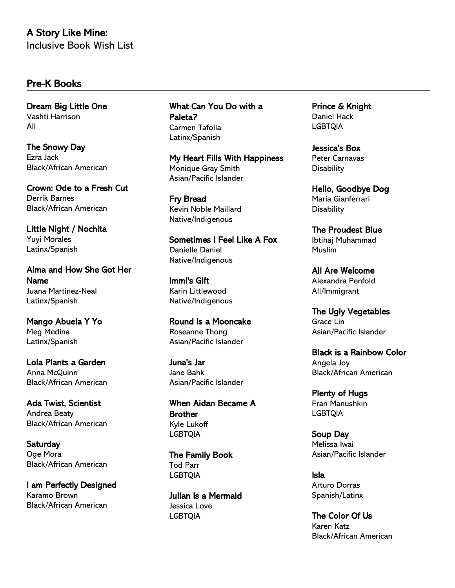# A Story Like Mine: Inclusive Book Wish List

#### Pre-K Books

Dream Big Little One Vashti Harrison All

The Snowy Day Ezra Jack Black/African American

Crown: Ode to a Fresh Cut Derrik Barnes Black/African American

Little Night / Nochita Yuyi Morales Latinx/Spanish

Alma and How She Got Her Name Juana Martinez-Neal Latinx/Spanish

Mango Abuela Y Yo Meg Medina Latinx/Spanish

Lola Plants a Garden Anna McQuinn Black/African American

Ada Twist, Scientist Andrea Beaty Black/African American

**Saturday** Oge Mora Black/African American

I am Perfectly Designed Karamo Brown Black/African American

What Can You Do with a Paleta? Carmen Tafolla Latinx/Spanish

My Heart Fills With Happiness Monique Gray Smith Asian/Pacific Islander

Fry Bread Kevin Noble Maillard Native/Indigenous

Sometimes I Feel Like A Fox Danielle Daniel Native/Indigenous

Immi's Gift Karin Littlewood Native/Indigenous

Round Is a Mooncake Roseanne Thong Asian/Pacific Islander

Juna's Jar Jane Bahk Asian/Pacific Islander

When Aidan Became A **Brother** Kyle Lukoff LGBTQIA

The Family Book Tod Parr LGBTQIA

Julian Is a Mermaid Jessica Love LGBTQIA

Prince & Knight Daniel Hack **LGBTQIA** 

Jessica's Box Peter Carnavas **Disability** 

Hello, Goodbye Dog Maria Gianferrari **Disability** 

The Proudest Blue Ibtihaj Muhammad Muslim

All Are Welcome Alexandra Penfold All/Immigrant

The Ugly Vegetables Grace Lin Asian/Pacific Islander

Black is a Rainbow Color Angela Joy Black/African American

Plenty of Hugs Fran Manushkin LGBTQIA

Soup Day Melissa Iwai Asian/Pacific Islander

Isla Arturo Dorras Spanish/Latinx

The Color Of Us Karen Katz Black/African American

Kuhan fb86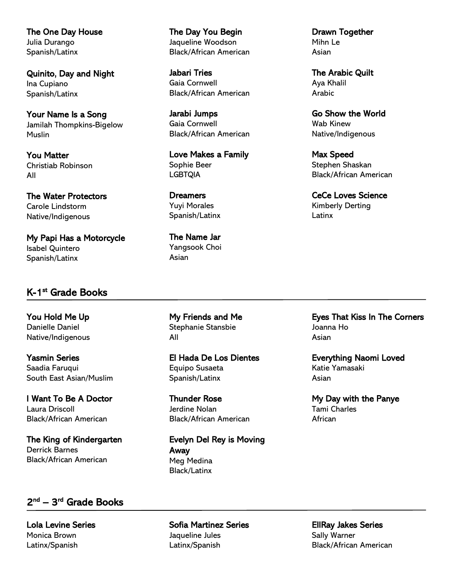The One Day House Julia Durango Spanish/Latinx

Quinito, Day and Night Ina Cupiano Spanish/Latinx

Your Name Is a Song Jamilah Thompkins-Bigelow **Muslin** 

You Matter Christiab Robinson All

The Water Protectors Carole Lindstorm Native/Indigenous

My Papi Has a Motorcycle Isabel Quintero Spanish/Latinx

#### K-1<sup>st</sup> Grade Books

You Hold Me Up Danielle Daniel Native/Indigenous

Yasmin Series Saadia Faruqui South East Asian/Muslim

I Want To Be A Doctor Laura Driscoll Black/African American

The King of Kindergarten Derrick Barnes Black/African American

## 2<sup>nd</sup> – 3<sup>rd</sup> Grade Books

Lola Levine Series Monica Brown Latinx/Spanish

The Children's Book Bank

The Day You Begin Jaqueline Woodson Black/African American

Jabari Tries Gaia Cornwell Black/African American

Jarabi Jumps Gaia Cornwell Black/African American

Love Makes a Family Sophie Beer LGBTQIA

**Dreamers** Yuyi Morales Spanish/Latinx

The Name Jar Yangsook Choi Asian

My Friends and Me Stephanie Stansbie All

El Hada De Los Dientes Equipo Susaeta Spanish/Latinx

Thunder Rose Jerdine Nolan Black/African American

Evelyn Del Rey is Moving Away Meg Medina Black/Latinx

Drawn Together Mihn Le Asian

The Arabic Quilt Aya Khalil Arabic

Go Show the World Wab Kinew Native/Indigenous

Max Speed Stephen Shaskan Black/African American

CeCe Loves Science Kimberly Derting **Latinx** 

Eyes That Kiss In The Corners Joanna Ho Asian

Everything Naomi Loved Katie Yamasaki Asian

My Day with the Panye Tami Charles African

Sofia Martinez Series Jaqueline Jules Latinx/Spanish

EllRay Jakes Series Sally Warner Black/African American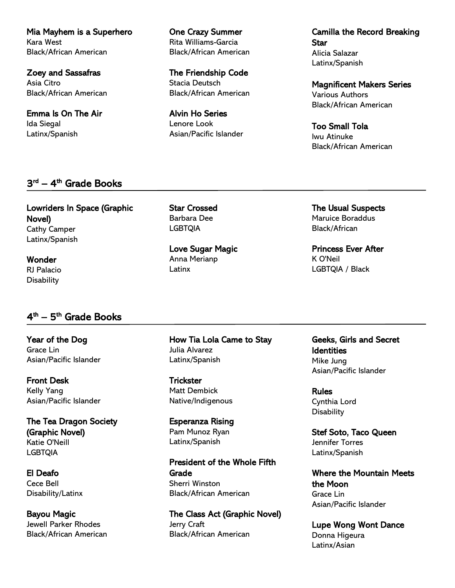Mia Mayhem is a Superhero Kara West Black/African American

Zoey and Sassafras Asia Citro Black/African American

Emma Is On The Air Ida Siegal Latinx/Spanish

#### 3<sup>rd</sup> – 4<sup>th</sup> Grade Books

Lowriders In Space (Graphic Novel) Cathy Camper Latinx/Spanish

Wonder RJ Palacio **Disability** 

### 4<sup>th</sup> — 5<sup>th</sup> Grade Books

Year of the Dog Grace Lin Asian/Pacific Islander

Front Desk Kelly Yang Asian/Pacific Islander

The Tea Dragon Society (Graphic Novel) Katie O'Neill LGBTQIA

El Deafo Cece Bell Disability/Latinx

Bayou Magic Jewell Parker Rhodes Black/African American

The Children's Book Bank

One Crazy Summer Rita Williams-Garcia Black/African American

The Friendship Code Stacia Deutsch Black/African American

Alvin Ho Series Lenore Look Asian/Pacific Islander Camilla the Record Breaking **Star** Alicia Salazar Latinx/Spanish

Magnificent Makers Series Various Authors Black/African American

Too Small Tola Iwu Atinuke Black/African American

The Usual Suspects Maruice Boraddus Black/African

Princess Ever After K O'Neil LGBTQIA / Black

Geeks, Girls and Secret **Identities** Mike Jung Asian/Pacific Islander

Rules Cynthia Lord **Disability** 

Stef Soto, Taco Queen Jennifer Torres Latinx/Spanish

Where the Mountain Meets the Moon Grace Lin Asian/Pacific Islander

Lupe Wong Wont Dance Donna Higeura Latinx/Asian

Love Sugar Magic

How Tia Lola Came to Stay Julia Alvarez Latinx/Spanish

**Trickster** Matt Dembick Native/Indigenous

Esperanza Rising Pam Munoz Ryan Latinx/Spanish

President of the Whole Fifth **Grade** Sherri Winston Black/African American

The Class Act (Graphic Novel) Jerry Craft Black/African American

#### Star Crossed Barbara Dee LGBTQIA

Anna Merianp Latinx